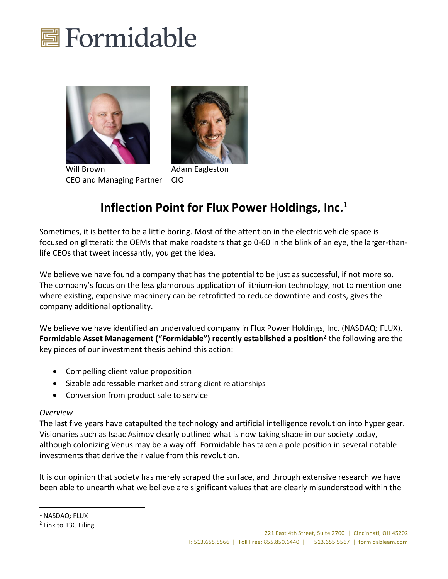





Will Brown **Adam Eagleston** CEO and Managing Partner CIO

## **Inflection Point for Flux Power Holdings, Inc.<sup>1</sup>**

Sometimes, it is better to be a little boring. Most of the attention in the electric vehicle space is focused on glitterati: the OEMs that make roadsters that go 0-60 in the blink of an eye, the larger-thanlife CEOs that tweet incessantly, you get the idea.

We believe we have found a company that has the potential to be just as successful, if not more so. The company's focus on the less glamorous application of lithium-ion technology, not to mention one where existing, expensive machinery can be retrofitted to reduce downtime and costs, gives the company additional optionality.

We believe we have identified an undervalued company in Flux Power Holdings, Inc. (NASDAQ: FLUX). **Formidable Asset Management ("Formidable") recently established a position<sup>2</sup>** the following are the key pieces of our investment thesis behind this action:

- Compelling client value proposition
- Sizable addressable market and strong client relationships
- Conversion from product sale to service

### *Overview*

The last five years have catapulted the technology and artificial intelligence revolution into hyper gear. Visionaries such as Isaac Asimov clearly outlined what is now taking shape in our society today, although colonizing Venus may be a way off. Formidable has taken a pole position in several notable investments that derive their value from this revolution.

It is our opinion that society has merely scraped the surface, and through extensive research we have been able to unearth what we believe are significant values that are clearly misunderstood within the

<sup>&</sup>lt;sup>1</sup> NASDAQ: FLUX

<sup>2</sup> Link to 13G Filing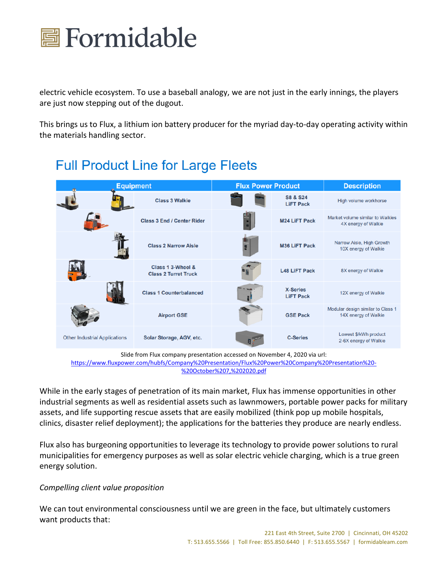

electric vehicle ecosystem. To use a baseball analogy, we are not just in the early innings, the players are just now stepping out of the dugout.

This brings us to Flux, a lithium ion battery producer for the myriad day-to-day operating activity within the materials handling sector.

## **Full Product Line for Large Fleets**



Slide from Flux company presentation accessed on November 4, 2020 via url: [https://www.fluxpower.com/hubfs/Company%20Presentation/Flux%20Power%20Company%20Presentation%20-](https://www.fluxpower.com/hubfs/Company%20Presentation/Flux%20Power%20Company%20Presentation%20-%20October%207,%202020.pdf) [%20October%207,%202020.pdf](https://www.fluxpower.com/hubfs/Company%20Presentation/Flux%20Power%20Company%20Presentation%20-%20October%207,%202020.pdf)

While in the early stages of penetration of its main market, Flux has immense opportunities in other industrial segments as well as residential assets such as lawnmowers, portable power packs for military assets, and life supporting rescue assets that are easily mobilized (think pop up mobile hospitals, clinics, disaster relief deployment); the applications for the batteries they produce are nearly endless.

Flux also has burgeoning opportunities to leverage its technology to provide power solutions to rural municipalities for emergency purposes as well as solar electric vehicle charging, which is a true green energy solution.

### *Compelling client value proposition*

We can tout environmental consciousness until we are green in the face, but ultimately customers want products that: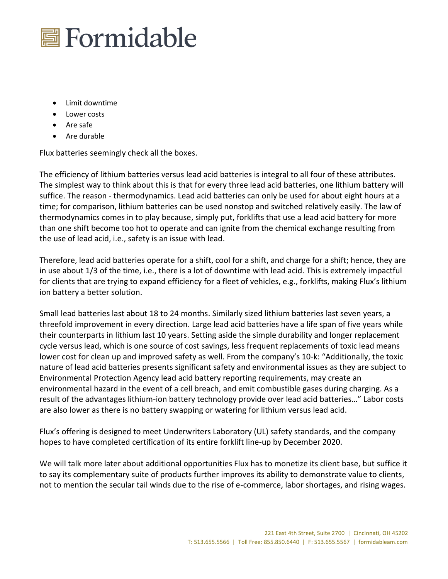

- Limit downtime
- Lower costs
- Are safe
- Are durable

Flux batteries seemingly check all the boxes.

The efficiency of lithium batteries versus lead acid batteries is integral to all four of these attributes. The simplest way to think about this is that for every three lead acid batteries, one lithium battery will suffice. The reason - thermodynamics. Lead acid batteries can only be used for about eight hours at a time; for comparison, lithium batteries can be used nonstop and switched relatively easily. The law of thermodynamics comes in to play because, simply put, forklifts that use a lead acid battery for more than one shift become too hot to operate and can ignite from the chemical exchange resulting from the use of lead acid, i.e., safety is an issue with lead.

Therefore, lead acid batteries operate for a shift, cool for a shift, and charge for a shift; hence, they are in use about 1/3 of the time, i.e., there is a lot of downtime with lead acid. This is extremely impactful for clients that are trying to expand efficiency for a fleet of vehicles, e.g., forklifts, making Flux's lithium ion battery a better solution.

Small lead batteries last about 18 to 24 months. Similarly sized lithium batteries last seven years, a threefold improvement in every direction. Large lead acid batteries have a life span of five years while their counterparts in lithium last 10 years. Setting aside the simple durability and longer replacement cycle versus lead, which is one source of cost savings, less frequent replacements of toxic lead means lower cost for clean up and improved safety as well. From the company's 10-k: "Additionally, the toxic nature of lead acid batteries presents significant safety and environmental issues as they are subject to Environmental Protection Agency lead acid battery reporting requirements, may create an environmental hazard in the event of a cell breach, and emit combustible gases during charging. As a result of the advantages lithium-ion battery technology provide over lead acid batteries…" Labor costs are also lower as there is no battery swapping or watering for lithium versus lead acid.

Flux's offering is designed to meet Underwriters Laboratory (UL) safety standards, and the company hopes to have completed certification of its entire forklift line-up by December 2020.

We will talk more later about additional opportunities Flux has to monetize its client base, but suffice it to say its complementary suite of products further improves its ability to demonstrate value to clients, not to mention the secular tail winds due to the rise of e-commerce, labor shortages, and rising wages.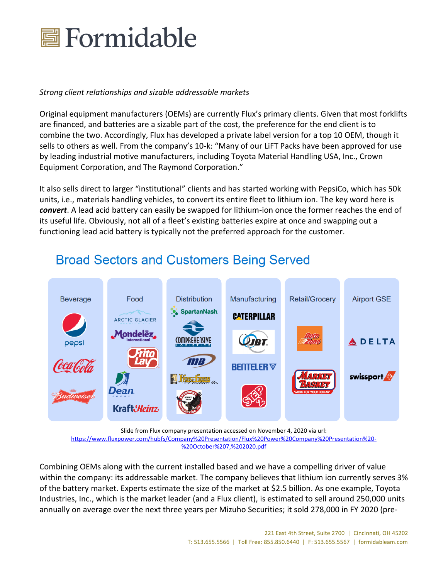

### *Strong client relationships and sizable addressable markets*

Original equipment manufacturers (OEMs) are currently Flux's primary clients. Given that most forklifts are financed, and batteries are a sizable part of the cost, the preference for the end client is to combine the two. Accordingly, Flux has developed a private label version for a top 10 OEM, though it sells to others as well. From the company's 10-k: "Many of our LiFT Packs have been approved for use by leading industrial motive manufacturers, including Toyota Material Handling USA, Inc., Crown Equipment Corporation, and The Raymond Corporation."

It also sells direct to larger "institutional" clients and has started working with PepsiCo, which has 50k units, i.e., materials handling vehicles, to convert its entire fleet to lithium ion. The key word here is *convert*. A lead acid battery can easily be swapped for lithium-ion once the former reaches the end of its useful life. Obviously, not all of a fleet's existing batteries expire at once and swapping out a functioning lead acid battery is typically not the preferred approach for the customer.

### **Distribution** Manufacturing **Retail/Grocery Airport GSE Beverage** Food **SpartanNash CATERPILLAR** ARCTIC GLACIER Mondelēz**,** (OMPREHENSIVE **ADELTA BENTELER** swissport Dean **Kraft***Heinz*

## **Broad Sectors and Customers Being Served**

Slide from Flux company presentation accessed on November 4, 2020 via url:

[https://www.fluxpower.com/hubfs/Company%20Presentation/Flux%20Power%20Company%20Presentation%20-](https://www.fluxpower.com/hubfs/Company%20Presentation/Flux%20Power%20Company%20Presentation%20-%20October%207,%202020.pdf) [%20October%207,%202020.pdf](https://www.fluxpower.com/hubfs/Company%20Presentation/Flux%20Power%20Company%20Presentation%20-%20October%207,%202020.pdf)

Combining OEMs along with the current installed based and we have a compelling driver of value within the company: its addressable market. The company believes that lithium ion currently serves 3% of the battery market. Experts estimate the size of the market at \$2.5 billion. As one example, Toyota Industries, Inc., which is the market leader (and a Flux client), is estimated to sell around 250,000 units annually on average over the next three years per Mizuho Securities; it sold 278,000 in FY 2020 (pre-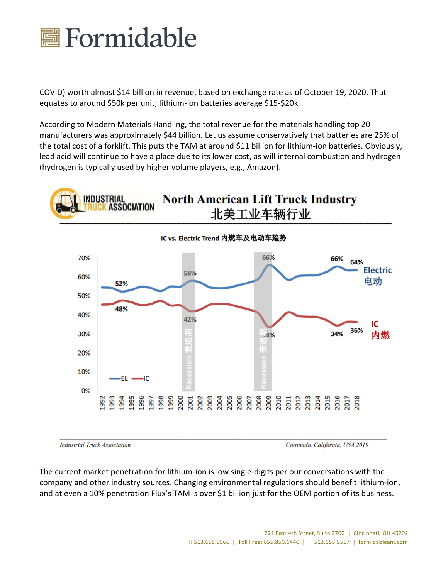

COVID) worth almost \$14 billion in revenue, based on exchange rate as of October 19, 2020. That equates to around \$50k per unit; lithium-ion batteries average \$15-\$20k.

According to Modern Materials Handling, the total revenue for the materials handling top 20 manufacturers was approximately \$44 billion. Let us assume conservatively that batteries are 25% of the total cost of a forklift. This puts the TAM at around \$11 billion for lithium-ion batteries. Obviously, lead acid will continue to have a place due to its lower cost, as will internal combustion and hydrogen (hydrogen is typically used by higher volume players, e.g., Amazon).



**Industrial Truck Association** 

Coronado, California, USA 2019

The current market penetration for lithium-ion is low single-digits per our conversations with the company and other industry sources. Changing environmental regulations should benefit lithium-ion, and at even a 10% penetration Flux's TAM is over \$1 billion just for the OEM portion of its business.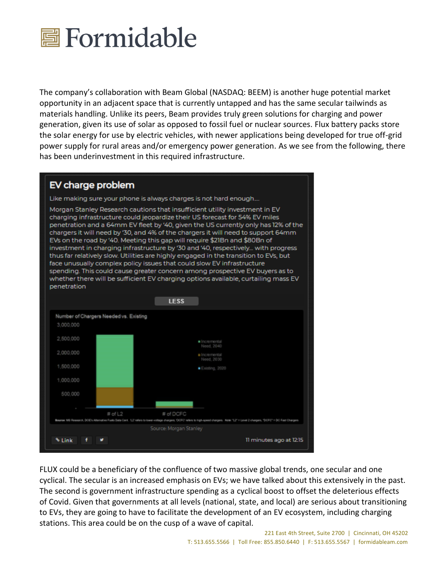

The company's collaboration with Beam Global (NASDAQ: BEEM) is another huge potential market opportunity in an adjacent space that is currently untapped and has the same secular tailwinds as materials handling. Unlike its peers, Beam provides truly green solutions for charging and power generation, given its use of solar as opposed to fossil fuel or nuclear sources. Flux battery packs store the solar energy for use by electric vehicles, with newer applications being developed for true off-grid power supply for rural areas and/or emergency power generation. As we see from the following, there has been underinvestment in this required infrastructure.

## EV charge problem

Like making sure your phone is always charges is not hard enough....

Morgan Stanley Research cautions that insufficient utility investment in EV charging infrastructure could jeopardize their US forecast for 54% EV miles penetration and a 64mm EV fleet by '40, given the US currently only has 12% of the chargers it will need by '30, and 4% of the chargers it will need to support 64mm EVs on the road by '40. Meeting this gap will require \$21Bn and \$80Bn of investment in charging infrastructure by '30 and '40, respectively... with progress thus far relatively slow. Utilities are highly engaged in the transition to EVs, but face unusually complex policy issues that could slow EV infrastructure spending. This could cause greater concern among prospective EV buyers as to whether there will be sufficient EV charging options available, curtailing mass EV penetration



FLUX could be a beneficiary of the confluence of two massive global trends, one secular and one cyclical. The secular is an increased emphasis on EVs; we have talked about this extensively in the past. The second is government infrastructure spending as a cyclical boost to offset the deleterious effects of Covid. Given that governments at all levels (national, state, and local) are serious about transitioning to EVs, they are going to have to facilitate the development of an EV ecosystem, including charging stations. This area could be on the cusp of a wave of capital.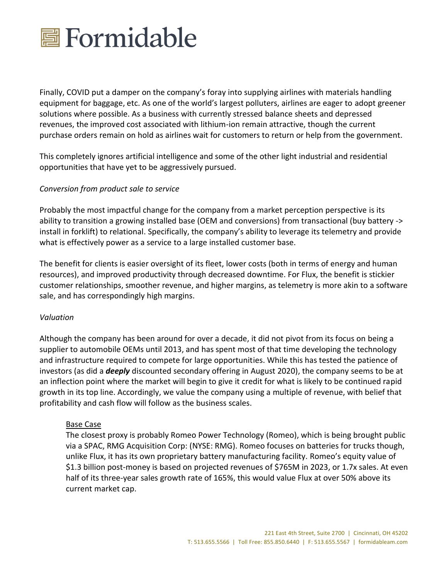

Finally, COVID put a damper on the company's foray into supplying airlines with materials handling equipment for baggage, etc. As one of the world's largest polluters, airlines are eager to adopt greener solutions where possible. As a business with currently stressed balance sheets and depressed revenues, the improved cost associated with lithium-ion remain attractive, though the current purchase orders remain on hold as airlines wait for customers to return or help from the government.

This completely ignores artificial intelligence and some of the other light industrial and residential opportunities that have yet to be aggressively pursued.

### *Conversion from product sale to service*

Probably the most impactful change for the company from a market perception perspective is its ability to transition a growing installed base (OEM and conversions) from transactional (buy battery -> install in forklift) to relational. Specifically, the company's ability to leverage its telemetry and provide what is effectively power as a service to a large installed customer base.

The benefit for clients is easier oversight of its fleet, lower costs (both in terms of energy and human resources), and improved productivity through decreased downtime. For Flux, the benefit is stickier customer relationships, smoother revenue, and higher margins, as telemetry is more akin to a software sale, and has correspondingly high margins.

#### *Valuation*

Although the company has been around for over a decade, it did not pivot from its focus on being a supplier to automobile OEMs until 2013, and has spent most of that time developing the technology and infrastructure required to compete for large opportunities. While this has tested the patience of investors (as did a *deeply* discounted secondary offering in August 2020), the company seems to be at an inflection point where the market will begin to give it credit for what is likely to be continued rapid growth in its top line. Accordingly, we value the company using a multiple of revenue, with belief that profitability and cash flow will follow as the business scales.

#### Base Case

The closest proxy is probably Romeo Power Technology (Romeo), which is being brought public via a SPAC, RMG Acquisition Corp: (NYSE: RMG). Romeo focuses on batteries for trucks though, unlike Flux, it has its own proprietary battery manufacturing facility. Romeo's equity value of \$1.3 billion post-money is based on projected revenues of \$765M in 2023, or 1.7x sales. At even half of its three-year sales growth rate of 165%, this would value Flux at over 50% above its current market cap.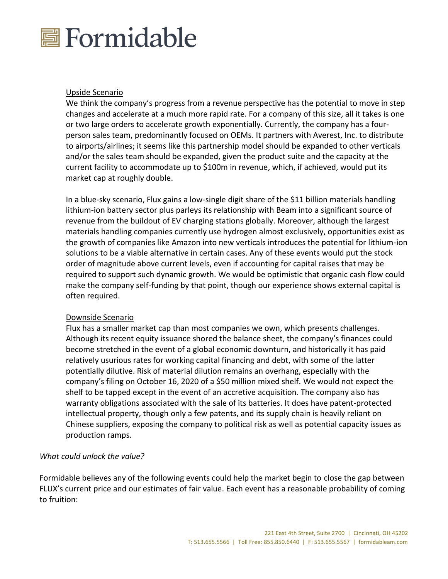

#### Upside Scenario

We think the company's progress from a revenue perspective has the potential to move in step changes and accelerate at a much more rapid rate. For a company of this size, all it takes is one or two large orders to accelerate growth exponentially. Currently, the company has a fourperson sales team, predominantly focused on OEMs. It partners with Averest, Inc. to distribute to airports/airlines; it seems like this partnership model should be expanded to other verticals and/or the sales team should be expanded, given the product suite and the capacity at the current facility to accommodate up to \$100m in revenue, which, if achieved, would put its market cap at roughly double.

In a blue-sky scenario, Flux gains a low-single digit share of the \$11 billion materials handling lithium-ion battery sector plus parleys its relationship with Beam into a significant source of revenue from the buildout of EV charging stations globally. Moreover, although the largest materials handling companies currently use hydrogen almost exclusively, opportunities exist as the growth of companies like Amazon into new verticals introduces the potential for lithium-ion solutions to be a viable alternative in certain cases. Any of these events would put the stock order of magnitude above current levels, even if accounting for capital raises that may be required to support such dynamic growth. We would be optimistic that organic cash flow could make the company self-funding by that point, though our experience shows external capital is often required.

#### Downside Scenario

Flux has a smaller market cap than most companies we own, which presents challenges. Although its recent equity issuance shored the balance sheet, the company's finances could become stretched in the event of a global economic downturn, and historically it has paid relatively usurious rates for working capital financing and debt, with some of the latter potentially dilutive. Risk of material dilution remains an overhang, especially with the company's filing on October 16, 2020 of a \$50 million mixed shelf. We would not expect the shelf to be tapped except in the event of an accretive acquisition. The company also has warranty obligations associated with the sale of its batteries. It does have patent-protected intellectual property, though only a few patents, and its supply chain is heavily reliant on Chinese suppliers, exposing the company to political risk as well as potential capacity issues as production ramps.

### *What could unlock the value?*

Formidable believes any of the following events could help the market begin to close the gap between FLUX's current price and our estimates of fair value. Each event has a reasonable probability of coming to fruition: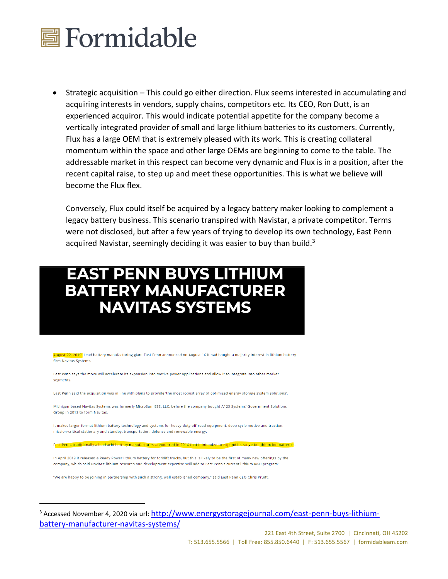

• Strategic acquisition – This could go either direction. Flux seems interested in accumulating and acquiring interests in vendors, supply chains, competitors etc. Its CEO, Ron Dutt, is an experienced acquiror. This would indicate potential appetite for the company become a vertically integrated provider of small and large lithium batteries to its customers. Currently, Flux has a large OEM that is extremely pleased with its work. This is creating collateral momentum within the space and other large OEMs are beginning to come to the table. The addressable market in this respect can become very dynamic and Flux is in a position, after the recent capital raise, to step up and meet these opportunities. This is what we believe will become the Flux flex.

Conversely, Flux could itself be acquired by a legacy battery maker looking to complement a legacy battery business. This scenario transpired with Navistar, a private competitor. Terms were not disclosed, but after a few years of trying to develop its own technology, East Penn acquired Navistar, seemingly deciding it was easier to buy than build.<sup>3</sup>

# **EAST PENN BUYS LITHIUM BATTERY MANUFACTURER NAVITAS SYSTEMS**

ugust 22, 2019; Lead battery manufacturing giant East Penn announced on August 16 it had bought a majority interest in lithium battery firm Navitas Systems.

East Penn says the move will accelerate its expansion into motive power applications and allow it to integrate into other market segments.

East Penn said the acquisition was in line with plans to provide 'the most robust array of optimized energy storage system solutions'.

Michigan-based Navitas Systems was formerly MicroSun IESS, LLC, before the company bought A123 Systems' Government Solutions Group in 2013 to form Navitas

It makes larger-format lithium battery technology and systems for heavy-duty off-road equipment, deep cycle motive and traction, mission-critical stationary and standby, transportation, defence and renewable energy.

East Penn, traditionally a lead acid battery manufacturer, announced in 2016 that it intended to expand its range to lithium ion batteries.

In April 2019 it released a Ready Power lithium battery for forklift trucks, but this is likely to be the first of many new offerings by the company, which said Navitas' lithium research and development expertise 'will add to East Penn's current lithium R&D program'.

"We are happy to be joining in partnership with such a strong, well established company," said East Penn CEO Chris Pruitt.

<sup>3</sup> Accessed November 4, 2020 via url: [http://www.energystoragejournal.com/east-penn-buys-lithium](http://www.energystoragejournal.com/east-penn-buys-lithium-battery-manufacturer-navitas-systems/)[battery-manufacturer-navitas-systems/](http://www.energystoragejournal.com/east-penn-buys-lithium-battery-manufacturer-navitas-systems/)

> 221 East 4th Street, Suite 2700 | Cincinnati, OH 45202 T: 513.655.5566 | Toll Free: 855.850.6440 | F: 513.655.5567 | formidableam.com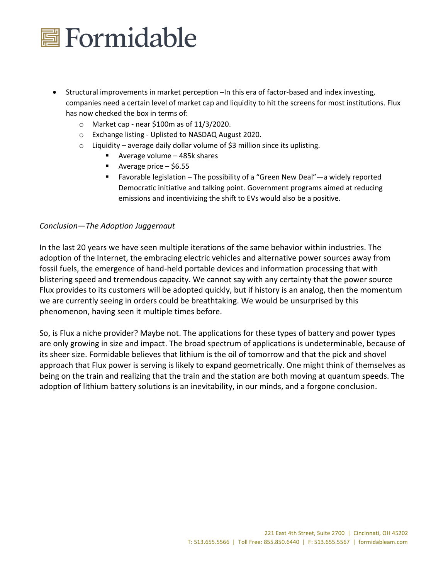

- Structural improvements in market perception –In this era of factor-based and index investing, companies need a certain level of market cap and liquidity to hit the screens for most institutions. Flux has now checked the box in terms of:
	- o Market cap near \$100m as of 11/3/2020.
	- o Exchange listing Uplisted to NASDAQ August 2020.
	- $\circ$  Liquidity average daily dollar volume of \$3 million since its uplisting.
		- Average volume 485k shares
		- Average price \$6.55
		- Favorable legislation The possibility of a "Green New Deal"—a widely reported Democratic initiative and talking point. Government programs aimed at reducing emissions and incentivizing the shift to EVs would also be a positive.

#### *Conclusion*—*The Adoption Juggernaut*

In the last 20 years we have seen multiple iterations of the same behavior within industries. The adoption of the Internet, the embracing electric vehicles and alternative power sources away from fossil fuels, the emergence of hand-held portable devices and information processing that with blistering speed and tremendous capacity. We cannot say with any certainty that the power source Flux provides to its customers will be adopted quickly, but if history is an analog, then the momentum we are currently seeing in orders could be breathtaking. We would be unsurprised by this phenomenon, having seen it multiple times before.

So, is Flux a niche provider? Maybe not. The applications for these types of battery and power types are only growing in size and impact. The broad spectrum of applications is undeterminable, because of its sheer size. Formidable believes that lithium is the oil of tomorrow and that the pick and shovel approach that Flux power is serving is likely to expand geometrically. One might think of themselves as being on the train and realizing that the train and the station are both moving at quantum speeds. The adoption of lithium battery solutions is an inevitability, in our minds, and a forgone conclusion.